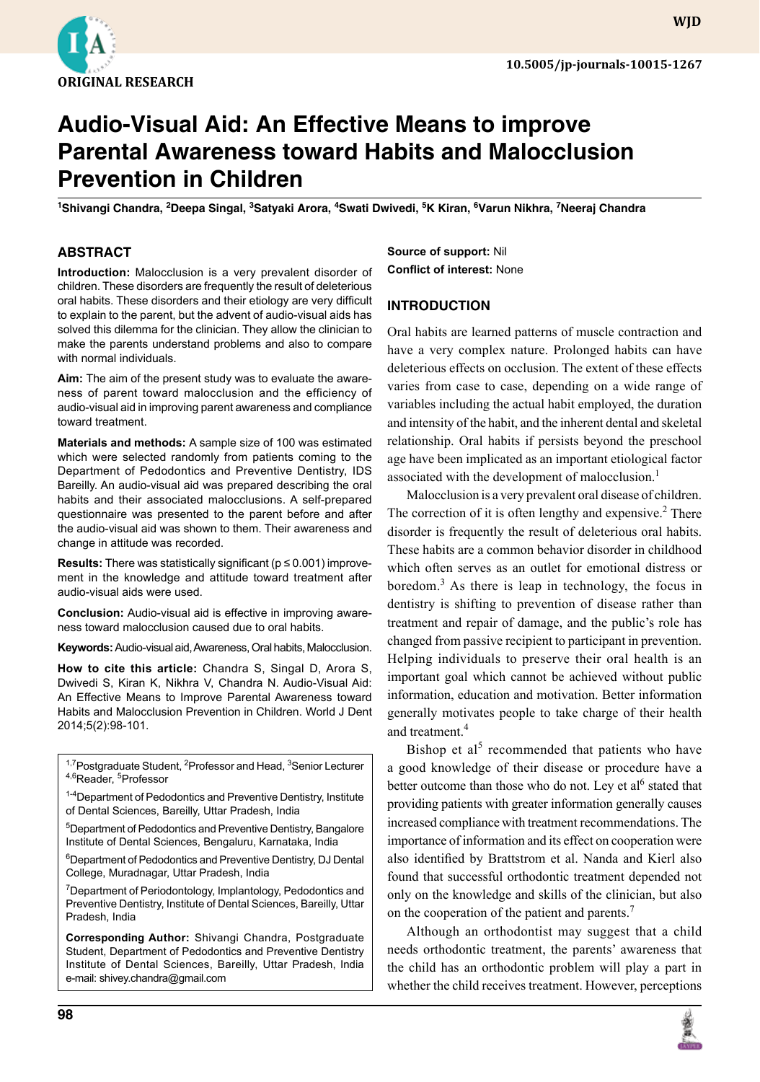

# **Audio-Visual Aid: An Effective Means to improve Parental Awareness toward Habits and Malocclusion Prevention in Children**

<sup>1</sup>Shivangi Chandra, <sup>2</sup>Deepa Singal, <sup>3</sup>Satyaki Arora, <sup>4</sup>Swati Dwivedi, <sup>5</sup>K Kiran, <sup>6</sup>Varun Nikhra, <sup>7</sup>Neeraj Chandra

### **ABSTRACT**

**Introduction:** Malocclusion is a very prevalent disorder of children. These disorders are frequently the result of deleterious oral habits. These disorders and their etiology are very difficult to explain to the parent, but the advent of audio-visual aids has solved this dilemma for the clinician. They allow the clinician to make the parents understand problems and also to compare with normal individuals.

**Aim:** The aim of the present study was to evaluate the awareness of parent toward malocclusion and the efficiency of audio-visual aid in improving parent awareness and compliance toward treatment.

**Materials and methods:** A sample size of 100 was estimated which were selected randomly from patients coming to the Department of Pedodontics and Preventive Dentistry, IDS Bareilly. An audio-visual aid was prepared describing the oral habits and their associated malocclusions. A self-prepared questionnaire was presented to the parent before and after the audio-visual aid was shown to them. Their awareness and change in attitude was recorded.

**Results:** There was statistically significant (p ≤ 0.001) improvement in the knowledge and attitude toward treatment after audio-visual aids were used.

**Conclusion:** Audio-visual aid is effective in improving awareness toward malocclusion caused due to oral habits.

**Keywords:** Audio-visual aid, Awareness, Oral habits, Malocclusion.

**How to cite this article:** Chandra S, Singal D, Arora S, Dwivedi S, Kiran K, Nikhra V, Chandra N. Audio-Visual Aid: An Effective Means to Improve Parental Awareness toward Habits and Malocclusion Prevention in Children. World J Dent 2014;5(2):98-101.

<sup>1,7</sup>Postgraduate Student, <sup>2</sup>Professor and Head, <sup>3</sup>Senior Lecturer <sup>4,6</sup>Reader, <sup>5</sup>Professor

<sup>1-4</sup>Department of Pedodontics and Preventive Dentistry, Institute of Dental Sciences, Bareilly, Uttar Pradesh, India

5 Department of Pedodontics and Preventive Dentistry, Bangalore Institute of Dental Sciences, Bengaluru, Karnataka, India

<sup>6</sup>Department of Pedodontics and Preventive Dentistry, DJ Dental College, Muradnagar, Uttar Pradesh, India

<sup>7</sup>Department of Periodontology, Implantology, Pedodontics and Preventive Dentistry, Institute of Dental Sciences, Bareilly, Uttar Pradesh, India

**Corresponding Author:** Shivangi Chandra, Postgraduate Student, Department of Pedodontics and Preventive Dentistry Institute of Dental Sciences, Bareilly, Uttar Pradesh, India e-mail: shivey.chandra@gmail.com

**Source of support:** Nil **Conflict of interest:** None

#### **INTRODUCTION**

Oral habits are learned patterns of muscle contraction and have a very complex nature. Prolonged habits can have deleterious effects on occlusion. The extent of these effects varies from case to case, depending on a wide range of variables including the actual habit employed, the duration and intensity of the habit, and the inherent dental and skeletal relationship. Oral habits if persists beyond the preschool age have been implicated as an important etiological factor associated with the development of malocclusion.<sup>1</sup>

Malocclusion is a very prevalent oral disease of children. The correction of it is often lengthy and expensive.<sup>2</sup> There disorder is frequently the result of deleterious oral habits. These habits are a common behavior disorder in childhood which often serves as an outlet for emotional distress or boredom.<sup>3</sup> As there is leap in technology, the focus in dentistry is shifting to prevention of disease rather than treatment and repair of damage, and the public's role has changed from passive recipient to participant in prevention. Helping individuals to preserve their oral health is an important goal which cannot be achieved without public information, education and motivation. Better information generally motivates people to take charge of their health and treatment.<sup>4</sup>

Bishop et al<sup>5</sup> recommended that patients who have a good knowledge of their disease or procedure have a better outcome than those who do not. Ley et al<sup>6</sup> stated that providing patients with greater information generally causes increased compliance with treatment recommendations. The importance of information and its effect on cooperation were also identified by Brattstrom et al. Nanda and Kierl also found that successful orthodontic treatment depended not only on the knowledge and skills of the clinician, but also on the cooperation of the patient and parents.<sup>7</sup>

Although an orthodontist may suggest that a child needs orthodontic treatment, the parents' awareness that the child has an orthodontic problem will play a part in whether the child receives treatment. However, perceptions

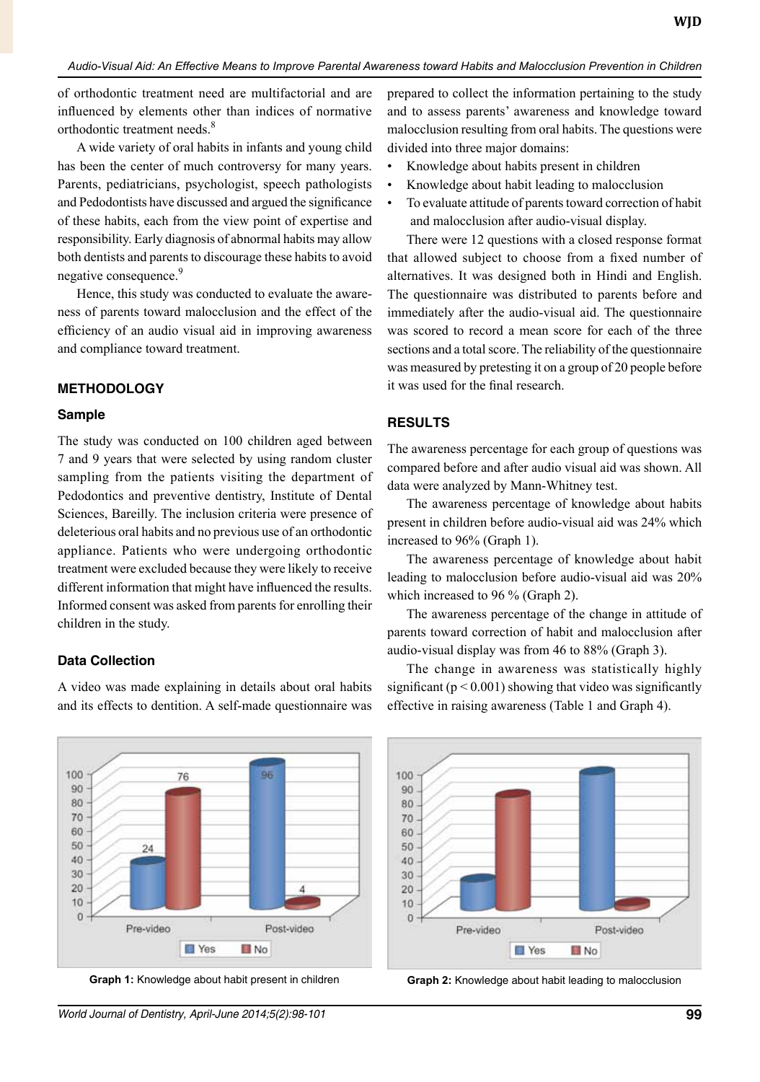of orthodontic treatment need are multifactorial and are influenced by elements other than indices of normative orthodontic treatment needs.<sup>8</sup>

A wide variety of oral habits in infants and young child has been the center of much controversy for many years. Parents, pediatricians, psychologist, speech pathologists and Pedodontists have discussed and argued the significance of these habits, each from the view point of expertise and responsibility. Early diagnosis of abnormal habits may allow both dentists and parents to discourage these habits to avoid negative consequence.<sup>9</sup>

Hence, this study was conducted to evaluate the awareness of parents toward malocclusion and the effect of the efficiency of an audio visual aid in improving awareness and compliance toward treatment.

#### **METHODOLOGY**

#### **Sample**

The study was conducted on 100 children aged between 7 and 9 years that were selected by using random cluster sampling from the patients visiting the department of Pedodontics and preventive dentistry, Institute of Dental Sciences, Bareilly. The inclusion criteria were presence of deleterious oral habits and no previous use of an orthodontic appliance. Patients who were undergoing orthodontic treatment were excluded because they were likely to receive different information that might have influenced the results. Informed consent was asked from parents for enrolling their children in the study.

#### **Data Collection**

A video was made explaining in details about oral habits and its effects to dentition. A self-made questionnaire was prepared to collect the information pertaining to the study and to assess parents' awareness and knowledge toward malocclusion resulting from oral habits. The questions were divided into three major domains:

- Knowledge about habits present in children
- Knowledge about habit leading to malocclusion
- To evaluate attitude of parents toward correction of habit and malocclusion after audio-visual display.

There were 12 questions with a closed response format that allowed subject to choose from a fixed number of alternatives. It was designed both in Hindi and English. The questionnaire was distributed to parents before and immediately after the audio-visual aid. The questionnaire was scored to record a mean score for each of the three sections and a total score. The reliability of the questionnaire was measured by pretesting it on a group of 20 people before it was used for the final research.

#### **RESULTS**

The awareness percentage for each group of questions was compared before and after audio visual aid was shown. All data were analyzed by Mann-Whitney test.

The awareness percentage of knowledge about habits present in children before audio-visual aid was 24% which increased to 96% (Graph 1).

The awareness percentage of knowledge about habit leading to malocclusion before audio-visual aid was 20% which increased to 96 % (Graph 2).

The awareness percentage of the change in attitude of parents toward correction of habit and malocclusion after audio-visual display was from 46 to 88% (Graph 3).

The change in awareness was statistically highly significant ( $p < 0.001$ ) showing that video was significantly effective in raising awareness (Table 1 and Graph 4).





**Graph 1:** Knowledge about habit present in children **Graph 2:** Knowledge about habit leading to malocclusion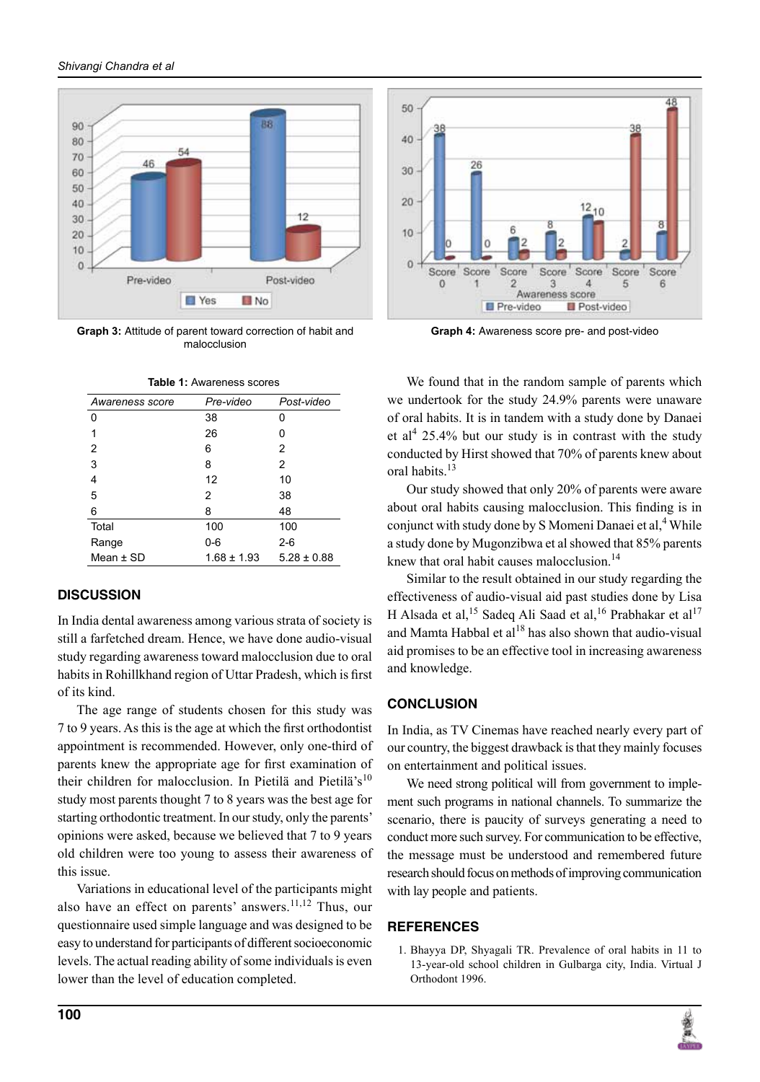

**Graph 3:** Attitude of parent toward correction of habit and malocclusion

**Table 1:** Awareness scores

| Table T. Awareness scores |                 |                 |
|---------------------------|-----------------|-----------------|
| Awareness score           | Pre-video       | Post-video      |
| 0                         | 38              | 0               |
|                           | 26              | 0               |
| 2                         | 6               | 2               |
| 3                         | 8               | 2               |
| 4                         | 12              | 10              |
| 5                         | 2               | 38              |
| 6                         | 8               | 48              |
| Total                     | 100             | 100             |
| Range                     | 0-6             | 2-6             |
| Mean $\pm$ SD             | $1.68 \pm 1.93$ | $5.28 \pm 0.88$ |

## **DISCUSSION**

In India dental awareness among various strata of society is still a farfetched dream. Hence, we have done audio-visual study regarding awareness toward malocclusion due to oral habits in Rohillkhand region of Uttar Pradesh, which is first of its kind.

The age range of students chosen for this study was 7 to 9 years. As this is the age at which the first orthodontist appointment is recommended. However, only one-third of parents knew the appropriate age for first examination of their children for malocclusion. In Pietilä and Pietilä's<sup>10</sup> study most parents thought 7 to 8 years was the best age for starting orthodontic treatment. In our study, only the parents' opinions were asked, because we believed that 7 to 9 years old children were too young to assess their awareness of this issue.

Variations in educational level of the participants might also have an effect on parents' answers.<sup>11,12</sup> Thus, our questionnaire used simple language and was designed to be easy to understand for participants of different socioeconomic levels. The actual reading ability of some individuals is even lower than the level of education completed.



**Graph 4:** Awareness score pre- and post-video

We found that in the random sample of parents which we undertook for the study 24.9% parents were unaware of oral habits. It is in tandem with a study done by Danaei et al<sup>4</sup> 25.4% but our study is in contrast with the study conducted by Hirst showed that 70% of parents knew about oral habits.13

Our study showed that only 20% of parents were aware about oral habits causing malocclusion. This finding is in conjunct with study done by S Momeni Danaei et al,<sup>4</sup> While a study done by Mugonzibwa et al showed that 85% parents knew that oral habit causes malocclusion.<sup>14</sup>

Similar to the result obtained in our study regarding the effectiveness of audio-visual aid past studies done by Lisa H Alsada et al,<sup>15</sup> Sadeq Ali Saad et al,<sup>16</sup> Prabhakar et al<sup>17</sup> and Mamta Habbal et al<sup>18</sup> has also shown that audio-visual aid promises to be an effective tool in increasing awareness and knowledge.

## **CONCLUSION**

In India, as TV Cinemas have reached nearly every part of our country, the biggest drawback is that they mainly focuses on entertainment and political issues.

We need strong political will from government to implement such programs in national channels. To summarize the scenario, there is paucity of surveys generating a need to conduct more such survey. For communication to be effective, the message must be understood and remembered future research should focus on methods of improving communication with lay people and patients.

## **References**

1. Bhayya DP, Shyagali TR. Prevalence of oral habits in 11 to 13-year-old school children in Gulbarga city, India. Virtual J Orthodont 1996.